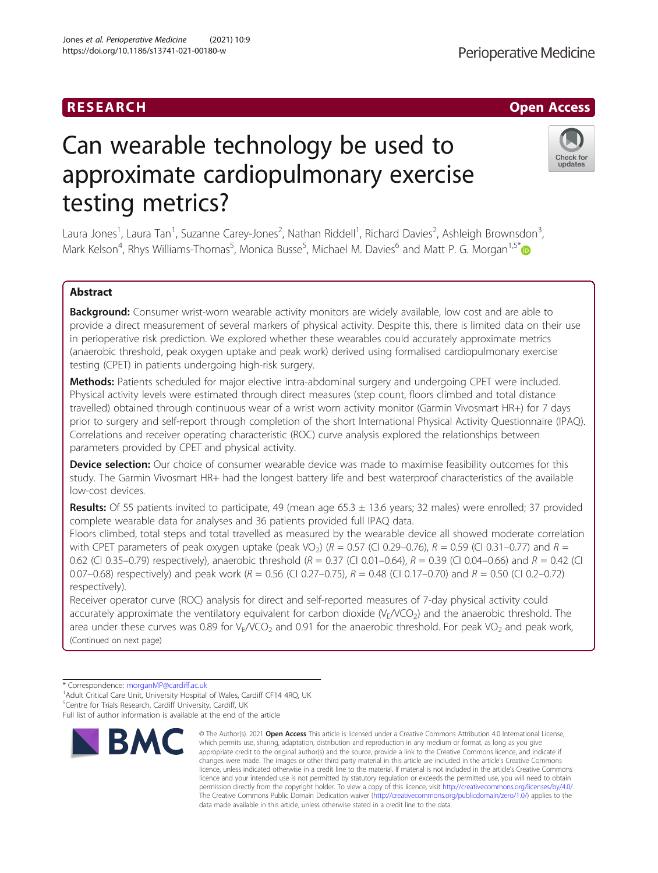# RESEARCH **RESEARCH CHOOSE ACCESS**

# Can wearable technology be used to approximate cardiopulmonary exercise testing metrics?

Laura Jones<sup>1</sup>, Laura Tan<sup>1</sup>, Suzanne Carey-Jones<sup>2</sup>, Nathan Riddell<sup>1</sup>, Richard Davies<sup>2</sup>, Ashleigh Brownsdon<sup>3</sup> , Mark Kelson<sup>4</sup>, Rhys Williams-Thomas<sup>5</sup>, Monica Busse<sup>5</sup>, Michael M. Davies<sup>6</sup> and Matt P. G. Morgan<sup>1,5\*</sup>

# Abstract

Background: Consumer wrist-worn wearable activity monitors are widely available, low cost and are able to provide a direct measurement of several markers of physical activity. Despite this, there is limited data on their use in perioperative risk prediction. We explored whether these wearables could accurately approximate metrics (anaerobic threshold, peak oxygen uptake and peak work) derived using formalised cardiopulmonary exercise testing (CPET) in patients undergoing high-risk surgery.

Methods: Patients scheduled for major elective intra-abdominal surgery and undergoing CPET were included. Physical activity levels were estimated through direct measures (step count, floors climbed and total distance travelled) obtained through continuous wear of a wrist worn activity monitor (Garmin Vivosmart HR+) for 7 days prior to surgery and self-report through completion of the short International Physical Activity Questionnaire (IPAQ). Correlations and receiver operating characteristic (ROC) curve analysis explored the relationships between parameters provided by CPET and physical activity.

**Device selection:** Our choice of consumer wearable device was made to maximise feasibility outcomes for this study. The Garmin Vivosmart HR+ had the longest battery life and best waterproof characteristics of the available low-cost devices.

**Results:** Of 55 patients invited to participate, 49 (mean age  $65.3 \pm 13.6$  years; 32 males) were enrolled; 37 provided complete wearable data for analyses and 36 patients provided full IPAQ data.

Floors climbed, total steps and total travelled as measured by the wearable device all showed moderate correlation with CPET parameters of peak oxygen uptake (peak VO<sub>2</sub>) ( $R = 0.57$  (CI 0.29–0.76),  $R = 0.59$  (CI 0.31–0.77) and  $R =$ 0.62 (CI 0.35–0.79) respectively), anaerobic threshold  $(R = 0.37$  (CI 0.01–0.64),  $R = 0.39$  (CI 0.04–0.66) and  $R = 0.42$  (CI 0.07–0.68) respectively) and peak work ( $R = 0.56$  (CI 0.27–0.75),  $R = 0.48$  (CI 0.17–0.70) and  $R = 0.50$  (CI 0.2–0.72) respectively).

Receiver operator curve (ROC) analysis for direct and self-reported measures of 7-day physical activity could accurately approximate the ventilatory equivalent for carbon dioxide  $(V_F/VO_2)$  and the anaerobic threshold. The area under these curves was 0.89 for  $V_F/VCO_2$  and 0.91 for the anaerobic threshold. For peak VO<sub>2</sub> and peak work, (Continued on next page)

which permits use, sharing, adaptation, distribution and reproduction in any medium or format, as long as you give appropriate credit to the original author(s) and the source, provide a link to the Creative Commons licence, and indicate if changes were made. The images or other third party material in this article are included in the article's Creative Commons licence, unless indicated otherwise in a credit line to the material. If material is not included in the article's Creative Commons licence and your intended use is not permitted by statutory regulation or exceeds the permitted use, you will need to obtain permission directly from the copyright holder. To view a copy of this licence, visit [http://creativecommons.org/licenses/by/4.0/.](http://creativecommons.org/licenses/by/4.0/) The Creative Commons Public Domain Dedication waiver [\(http://creativecommons.org/publicdomain/zero/1.0/](http://creativecommons.org/publicdomain/zero/1.0/)) applies to the data made available in this article, unless otherwise stated in a credit line to the data.

© The Author(s), 2021 **Open Access** This article is licensed under a Creative Commons Attribution 4.0 International License,







<sup>\*</sup> Correspondence: [morganMP@cardiff.ac.uk](mailto:morganMP@cardiff.ac.uk) <sup>1</sup>

<sup>&</sup>lt;sup>1</sup> Adult Critical Care Unit, University Hospital of Wales, Cardiff CF14 4RQ, UK <sup>5</sup>Centre for Trials Research, Cardiff University, Cardiff, UK

Full list of author information is available at the end of the article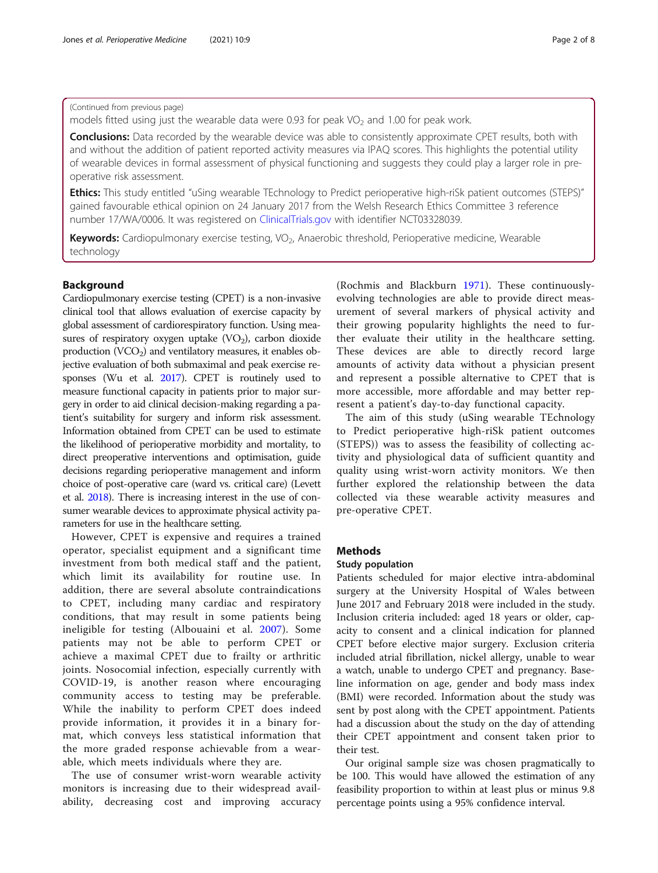# <span id="page-1-0"></span>(Continued from previous page)

models fitted using just the wearable data were 0.93 for peak  $VO<sub>2</sub>$  and 1.00 for peak work.

**Conclusions:** Data recorded by the wearable device was able to consistently approximate CPET results, both with and without the addition of patient reported activity measures via IPAQ scores. This highlights the potential utility of wearable devices in formal assessment of physical functioning and suggests they could play a larger role in preoperative risk assessment.

Ethics: This study entitled "uSing wearable TEchnology to Predict perioperative high-riSk patient outcomes (STEPS)" gained favourable ethical opinion on 24 January 2017 from the Welsh Research Ethics Committee 3 reference number 17/WA/0006. It was registered on [ClinicalTrials.gov](http://clinicaltrials.gov) with identifier NCT03328039.

Keywords: Cardiopulmonary exercise testing, VO<sub>2</sub>, Anaerobic threshold, Perioperative medicine, Wearable technology

# Background

Cardiopulmonary exercise testing (CPET) is a non-invasive clinical tool that allows evaluation of exercise capacity by global assessment of cardiorespiratory function. Using measures of respiratory oxygen uptake  $(VO<sub>2</sub>)$ , carbon dioxide production  $(VCO<sub>2</sub>)$  and ventilatory measures, it enables objective evaluation of both submaximal and peak exercise responses (Wu et al. [2017](#page-7-0)). CPET is routinely used to measure functional capacity in patients prior to major surgery in order to aid clinical decision-making regarding a patient's suitability for surgery and inform risk assessment. Information obtained from CPET can be used to estimate the likelihood of perioperative morbidity and mortality, to direct preoperative interventions and optimisation, guide decisions regarding perioperative management and inform choice of post-operative care (ward vs. critical care) (Levett et al. [2018](#page-7-0)). There is increasing interest in the use of consumer wearable devices to approximate physical activity parameters for use in the healthcare setting.

However, CPET is expensive and requires a trained operator, specialist equipment and a significant time investment from both medical staff and the patient, which limit its availability for routine use. In addition, there are several absolute contraindications to CPET, including many cardiac and respiratory conditions, that may result in some patients being ineligible for testing (Albouaini et al. [2007\)](#page-7-0). Some patients may not be able to perform CPET or achieve a maximal CPET due to frailty or arthritic joints. Nosocomial infection, especially currently with COVID-19, is another reason where encouraging community access to testing may be preferable. While the inability to perform CPET does indeed provide information, it provides it in a binary format, which conveys less statistical information that the more graded response achievable from a wearable, which meets individuals where they are.

The use of consumer wrist-worn wearable activity monitors is increasing due to their widespread availability, decreasing cost and improving accuracy

(Rochmis and Blackburn [1971](#page-7-0)). These continuouslyevolving technologies are able to provide direct measurement of several markers of physical activity and their growing popularity highlights the need to further evaluate their utility in the healthcare setting. These devices are able to directly record large amounts of activity data without a physician present and represent a possible alternative to CPET that is more accessible, more affordable and may better represent a patient's day-to-day functional capacity.

The aim of this study (uSing wearable TEchnology to Predict perioperative high-riSk patient outcomes (STEPS)) was to assess the feasibility of collecting activity and physiological data of sufficient quantity and quality using wrist-worn activity monitors. We then further explored the relationship between the data collected via these wearable activity measures and pre-operative CPET.

# **Methods**

#### Study population

Patients scheduled for major elective intra-abdominal surgery at the University Hospital of Wales between June 2017 and February 2018 were included in the study. Inclusion criteria included: aged 18 years or older, capacity to consent and a clinical indication for planned CPET before elective major surgery. Exclusion criteria included atrial fibrillation, nickel allergy, unable to wear a watch, unable to undergo CPET and pregnancy. Baseline information on age, gender and body mass index (BMI) were recorded. Information about the study was sent by post along with the CPET appointment. Patients had a discussion about the study on the day of attending their CPET appointment and consent taken prior to their test.

Our original sample size was chosen pragmatically to be 100. This would have allowed the estimation of any feasibility proportion to within at least plus or minus 9.8 percentage points using a 95% confidence interval.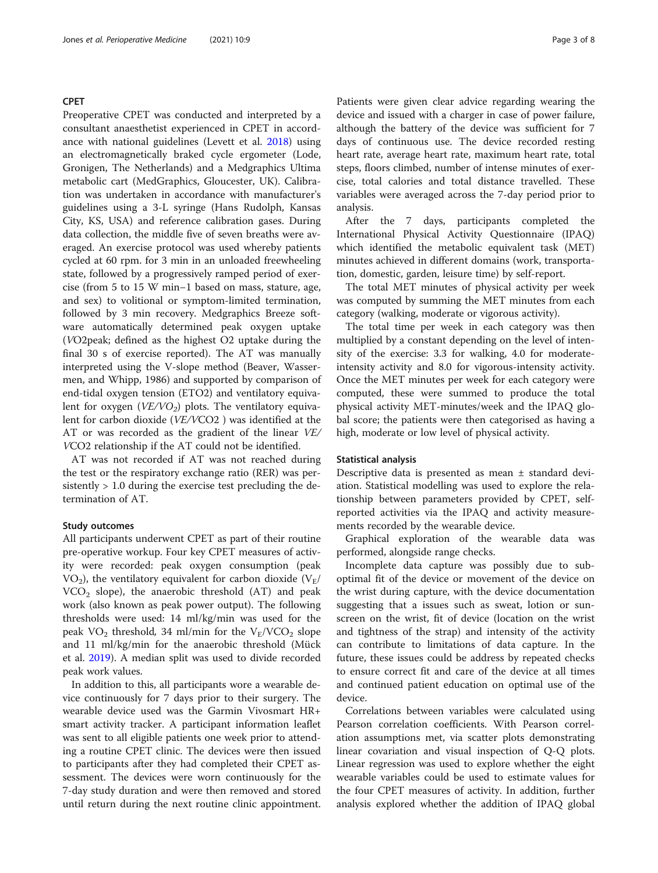### CPET

Preoperative CPET was conducted and interpreted by a consultant anaesthetist experienced in CPET in accordance with national guidelines (Levett et al. [2018](#page-7-0)) using an electromagnetically braked cycle ergometer (Lode, Gronigen, The Netherlands) and a Medgraphics Ultima metabolic cart (MedGraphics, Gloucester, UK). Calibration was undertaken in accordance with manufacturer's guidelines using a 3-L syringe (Hans Rudolph, Kansas City, KS, USA) and reference calibration gases. During data collection, the middle five of seven breaths were averaged. An exercise protocol was used whereby patients cycled at 60 rpm. for 3 min in an unloaded freewheeling state, followed by a progressively ramped period of exercise (from 5 to 15 W min−1 based on mass, stature, age, and sex) to volitional or symptom-limited termination, followed by 3 min recovery. Medgraphics Breeze software automatically determined peak oxygen uptake (VO2peak; defined as the highest O2 uptake during the final 30 s of exercise reported). The AT was manually interpreted using the V-slope method (Beaver, Wassermen, and Whipp, 1986) and supported by comparison of end-tidal oxygen tension (ETO2) and ventilatory equivalent for oxygen  $(VE/VO<sub>2</sub>)$  plots. The ventilatory equivalent for carbon dioxide (VE/VCO2 ) was identified at the AT or was recorded as the gradient of the linear VE/ VCO2 relationship if the AT could not be identified.

AT was not recorded if AT was not reached during the test or the respiratory exchange ratio (RER) was persistently > 1.0 during the exercise test precluding the determination of AT.

# Study outcomes

All participants underwent CPET as part of their routine pre-operative workup. Four key CPET measures of activity were recorded: peak oxygen consumption (peak VO<sub>2</sub>), the ventilatory equivalent for carbon dioxide  $(V_F /$  $VCO<sub>2</sub>$  slope), the anaerobic threshold (AT) and peak work (also known as peak power output). The following thresholds were used: 14 ml/kg/min was used for the peak  $VO_2$  threshold, 34 ml/min for the  $V_E/VCO_2$  slope and 11 ml/kg/min for the anaerobic threshold (Mück et al. [2019](#page-7-0)). A median split was used to divide recorded peak work values.

In addition to this, all participants wore a wearable device continuously for 7 days prior to their surgery. The wearable device used was the Garmin Vivosmart HR+ smart activity tracker. A participant information leaflet was sent to all eligible patients one week prior to attending a routine CPET clinic. The devices were then issued to participants after they had completed their CPET assessment. The devices were worn continuously for the 7-day study duration and were then removed and stored until return during the next routine clinic appointment. Patients were given clear advice regarding wearing the device and issued with a charger in case of power failure, although the battery of the device was sufficient for 7 days of continuous use. The device recorded resting heart rate, average heart rate, maximum heart rate, total steps, floors climbed, number of intense minutes of exercise, total calories and total distance travelled. These variables were averaged across the 7-day period prior to analysis.

After the 7 days, participants completed the International Physical Activity Questionnaire (IPAQ) which identified the metabolic equivalent task (MET) minutes achieved in different domains (work, transportation, domestic, garden, leisure time) by self-report.

The total MET minutes of physical activity per week was computed by summing the MET minutes from each category (walking, moderate or vigorous activity).

The total time per week in each category was then multiplied by a constant depending on the level of intensity of the exercise: 3.3 for walking, 4.0 for moderateintensity activity and 8.0 for vigorous-intensity activity. Once the MET minutes per week for each category were computed, these were summed to produce the total physical activity MET-minutes/week and the IPAQ global score; the patients were then categorised as having a high, moderate or low level of physical activity.

#### Statistical analysis

Descriptive data is presented as mean ± standard deviation. Statistical modelling was used to explore the relationship between parameters provided by CPET, selfreported activities via the IPAQ and activity measurements recorded by the wearable device.

Graphical exploration of the wearable data was performed, alongside range checks.

Incomplete data capture was possibly due to suboptimal fit of the device or movement of the device on the wrist during capture, with the device documentation suggesting that a issues such as sweat, lotion or sunscreen on the wrist, fit of device (location on the wrist and tightness of the strap) and intensity of the activity can contribute to limitations of data capture. In the future, these issues could be address by repeated checks to ensure correct fit and care of the device at all times and continued patient education on optimal use of the device.

Correlations between variables were calculated using Pearson correlation coefficients. With Pearson correlation assumptions met, via scatter plots demonstrating linear covariation and visual inspection of Q-Q plots. Linear regression was used to explore whether the eight wearable variables could be used to estimate values for the four CPET measures of activity. In addition, further analysis explored whether the addition of IPAQ global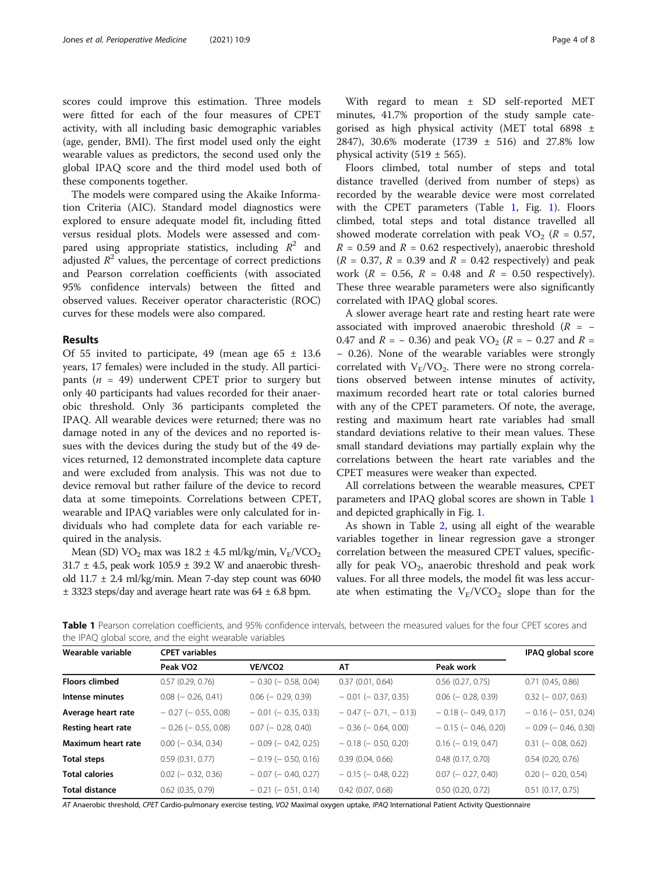scores could improve this estimation. Three models were fitted for each of the four measures of CPET activity, with all including basic demographic variables (age, gender, BMI). The first model used only the eight wearable values as predictors, the second used only the global IPAQ score and the third model used both of these components together.

The models were compared using the Akaike Information Criteria (AIC). Standard model diagnostics were explored to ensure adequate model fit, including fitted versus residual plots. Models were assessed and compared using appropriate statistics, including  $R^2$  and adjusted  $R^2$  values, the percentage of correct predictions and Pearson correlation coefficients (with associated 95% confidence intervals) between the fitted and observed values. Receiver operator characteristic (ROC) curves for these models were also compared.

#### Results

Of 55 invited to participate, 49 (mean age  $65 \pm 13.6$ ) years, 17 females) were included in the study. All participants ( $n = 49$ ) underwent CPET prior to surgery but only 40 participants had values recorded for their anaerobic threshold. Only 36 participants completed the IPAQ. All wearable devices were returned; there was no damage noted in any of the devices and no reported issues with the devices during the study but of the 49 devices returned, 12 demonstrated incomplete data capture and were excluded from analysis. This was not due to device removal but rather failure of the device to record data at some timepoints. Correlations between CPET, wearable and IPAQ variables were only calculated for individuals who had complete data for each variable required in the analysis.

Mean (SD) VO<sub>2</sub> max was  $18.2 \pm 4.5$  ml/kg/min, V<sub>F</sub>/VCO<sub>2</sub>  $31.7 \pm 4.5$ , peak work  $105.9 \pm 39.2$  W and anaerobic threshold  $11.7 \pm 2.4$  ml/kg/min. Mean 7-day step count was 6040  $\pm$  3323 steps/day and average heart rate was 64  $\pm$  6.8 bpm.

minutes, 41.7% proportion of the study sample categorised as high physical activity (MET total 6898 ± 2847), 30.6% moderate (1739 ± 516) and 27.8% low physical activity (519  $\pm$  565).

Floors climbed, total number of steps and total distance travelled (derived from number of steps) as recorded by the wearable device were most correlated with the CPET parameters (Table  $1$ , Fig. [1\)](#page-4-0). Floors climbed, total steps and total distance travelled all showed moderate correlation with peak  $VO<sub>2</sub>$  ( $R = 0.57$ ,  $R = 0.59$  and  $R = 0.62$  respectively), anaerobic threshold  $(R = 0.37, R = 0.39$  and  $R = 0.42$  respectively) and peak work ( $R = 0.56$ ,  $R = 0.48$  and  $R = 0.50$  respectively). These three wearable parameters were also significantly correlated with IPAQ global scores.

A slower average heart rate and resting heart rate were associated with improved anaerobic threshold  $(R = -$ 0.47 and  $R = -0.36$ ) and peak VO<sub>2</sub> ( $R = -0.27$  and  $R =$ − 0.26). None of the wearable variables were strongly correlated with  $V_E/VO_2$ . There were no strong correlations observed between intense minutes of activity, maximum recorded heart rate or total calories burned with any of the CPET parameters. Of note, the average, resting and maximum heart rate variables had small standard deviations relative to their mean values. These small standard deviations may partially explain why the correlations between the heart rate variables and the CPET measures were weaker than expected.

All correlations between the wearable measures, CPET parameters and IPAQ global scores are shown in Table 1 and depicted graphically in Fig. [1.](#page-4-0)

As shown in Table [2,](#page-4-0) using all eight of the wearable variables together in linear regression gave a stronger correlation between the measured CPET values, specifically for peak  $VO<sub>2</sub>$ , anaerobic threshold and peak work values. For all three models, the model fit was less accurate when estimating the  $V_E/VCO_2$  slope than for the

Table 1 Pearson correlation coefficients, and 95% confidence intervals, between the measured values for the four CPET scores and the IPAQ global score, and the eight wearable variables

| Wearable variable     | <b>CPET</b> variables     | IPAQ global score         |                               |                           |                           |  |
|-----------------------|---------------------------|---------------------------|-------------------------------|---------------------------|---------------------------|--|
|                       | Peak VO <sub>2</sub>      | VE/VCO <sub>2</sub>       | AT                            | Peak work                 |                           |  |
| <b>Floors climbed</b> | 0.57(0.29, 0.76)          | $-0.30$ ( $-0.58$ , 0.04) | 0.37(0.01, 0.64)              | $0.56$ $(0.27, 0.75)$     | 0.71(0.45, 0.86)          |  |
| Intense minutes       | $0.08$ ( $-0.26, 0.41$ )  | $0.06$ ( $-0.29, 0.39$ )  | $-0.01$ ( $-0.37, 0.35$ )     | $0.06$ ( $-0.28$ , 0.39)  | $0.32$ (- 0.07, 0.63)     |  |
| Average heart rate    | $-0.27$ ( $-0.55, 0.08$ ) | $-0.01$ ( $-0.35, 0.33$ ) | $-0.47$ ( $-0.71$ , $-0.13$ ) | $-0.18$ ( $-0.49$ , 0.17) | $-0.16$ ( $-0.51$ , 0.24) |  |
| Resting heart rate    | $-0.26$ ( $-0.55, 0.08$ ) | $0.07$ (- 0.28, 0.40)     | $-0.36$ ( $-0.64$ , 0.00)     | $-0.15$ ( $-0.46$ , 0.20) | $-0.09$ ( $-0.46, 0.30$ ) |  |
| Maximum heart rate    | $0.00$ ( $-$ 0.34, 0.34)  | $-0.09$ ( $-0.42$ , 0.25) | $-0.18$ ( $-0.50$ , 0.20)     | $0.16$ ( $-0.19$ , 0.47)  | $0.31$ ( $-0.08, 0.62$ )  |  |
| <b>Total steps</b>    | 0.59(0.31, 0.77)          | $-0.19$ ( $-0.50$ , 0.16) | 0.39(0.04, 0.66)              | $0.48$ $(0.17, 0.70)$     | $0.54$ $(0.20, 0.76)$     |  |
| <b>Total calories</b> | $0.02$ (- 0.32, 0.36)     | $-0.07$ ( $-0.40, 0.27$ ) | $-0.15$ ( $-0.48$ , 0.22)     | $0.07$ ( $-0.27, 0.40$ )  | $0.20$ (- 0.20, 0.54)     |  |
| <b>Total distance</b> | $0.62$ $(0.35, 0.79)$     | $-0.21$ ( $-0.51$ , 0.14) | $0.42$ (0.07, 0.68)           | 0.50(0.20, 0.72)          | $0.51$ $(0.17, 0.75)$     |  |

AT Anaerobic threshold, CPET Cardio-pulmonary exercise testing, VO2 Maximal oxygen uptake, IPAQ International Patient Activity Questionnaire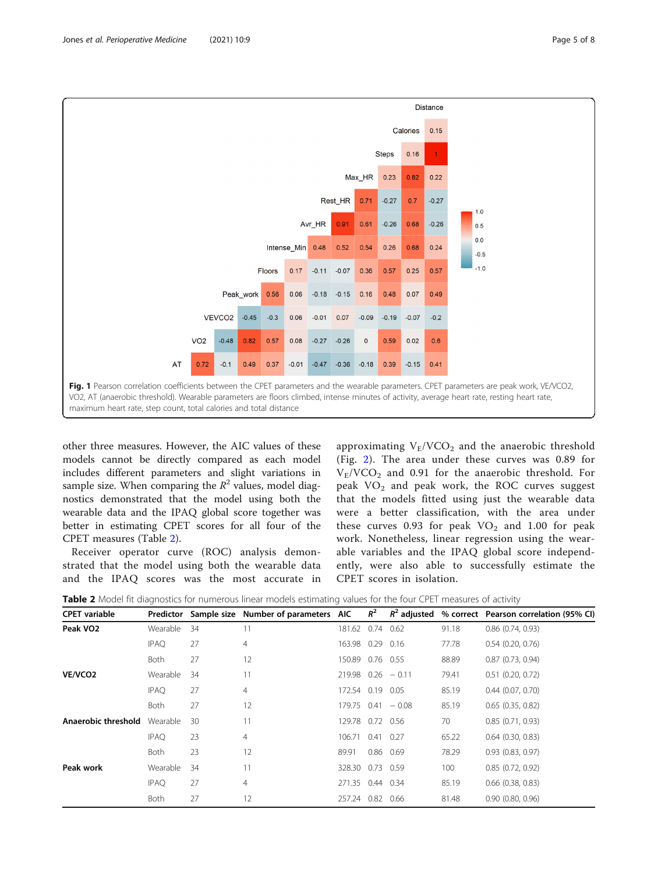<span id="page-4-0"></span>

other three measures. However, the AIC values of these models cannot be directly compared as each model includes different parameters and slight variations in sample size. When comparing the  $R^2$  values, model diagnostics demonstrated that the model using both the wearable data and the IPAQ global score together was better in estimating CPET scores for all four of the CPET measures (Table 2).

Receiver operator curve (ROC) analysis demonstrated that the model using both the wearable data and the IPAQ scores was the most accurate in approximating  $V_F/VCO_2$  and the anaerobic threshold (Fig. [2](#page-5-0)). The area under these curves was 0.89 for  $V_F/VCO_2$  and 0.91 for the anaerobic threshold. For peak  $VO<sub>2</sub>$  and peak work, the ROC curves suggest that the models fitted using just the wearable data were a better classification, with the area under these curves 0.93 for peak  $VO<sub>2</sub>$  and 1.00 for peak work. Nonetheless, linear regression using the wearable variables and the IPAQ global score independently, were also able to successfully estimate the CPET scores in isolation.

|  |  | Table 2 Model fit diagnostics for numerous linear models estimating values for the four CPET measures of activity |
|--|--|-------------------------------------------------------------------------------------------------------------------|
|--|--|-------------------------------------------------------------------------------------------------------------------|

| <b>CPET</b> variable | Predictor   |    | Sample size Number of parameters AIC |                  | $R^2$ |                       |       | $R^2$ adjusted % correct Pearson correlation (95% CI) |
|----------------------|-------------|----|--------------------------------------|------------------|-------|-----------------------|-------|-------------------------------------------------------|
| Peak VO <sub>2</sub> | Wearable    | 34 | 11                                   | 181.62 0.74      |       | 0.62                  | 91.18 | $0.86$ $(0.74, 0.93)$                                 |
|                      | <b>IPAQ</b> | 27 | 4                                    | 163.98 0.29      |       | 0.16                  | 77.78 | $0.54$ $(0.20, 0.76)$                                 |
|                      | <b>Both</b> | 27 | 12                                   | 150.89 0.76 0.55 |       |                       | 88.89 | $0.87$ $(0.73, 0.94)$                                 |
| VE/VCO <sub>2</sub>  | Wearable    | 34 | 11                                   |                  |       | $219.98$ 0.26 $-0.11$ | 79.41 | $0.51$ $(0.20, 0.72)$                                 |
|                      | <b>IPAQ</b> | 27 | 4                                    | 172.54 0.19      |       | 0.05                  | 85.19 | $0.44$ $(0.07, 0.70)$                                 |
|                      | <b>Both</b> | 27 | 12                                   |                  |       | $179.75$ 0.41 $-0.08$ | 85.19 | $0.65$ $(0.35, 0.82)$                                 |
| Anaerobic threshold  | Wearable    | 30 | 11                                   | 129.78 0.72      |       | 0.56                  | 70    | 0.85(0.71, 0.93)                                      |
|                      | <b>IPAQ</b> | 23 | 4                                    | 106.71           | 0.41  | 0.27                  | 65.22 | $0.64$ $(0.30, 0.83)$                                 |
|                      | <b>Both</b> | 23 | 12                                   | 89.91            | 0.86  | 0.69                  | 78.29 | 0.93(0.83, 0.97)                                      |
| Peak work            | Wearable    | 34 | 11                                   | 328.30           | 0.73  | 0.59                  | 100   | 0.85(0.72, 0.92)                                      |
|                      | <b>IPAQ</b> | 27 | 4                                    | 271.35 0.44 0.34 |       |                       | 85.19 | $0.66$ $(0.38, 0.83)$                                 |
|                      | Both        | 27 | 12                                   | 257.24 0.82      |       | 0.66                  | 81.48 | $0.90$ $(0.80, 0.96)$                                 |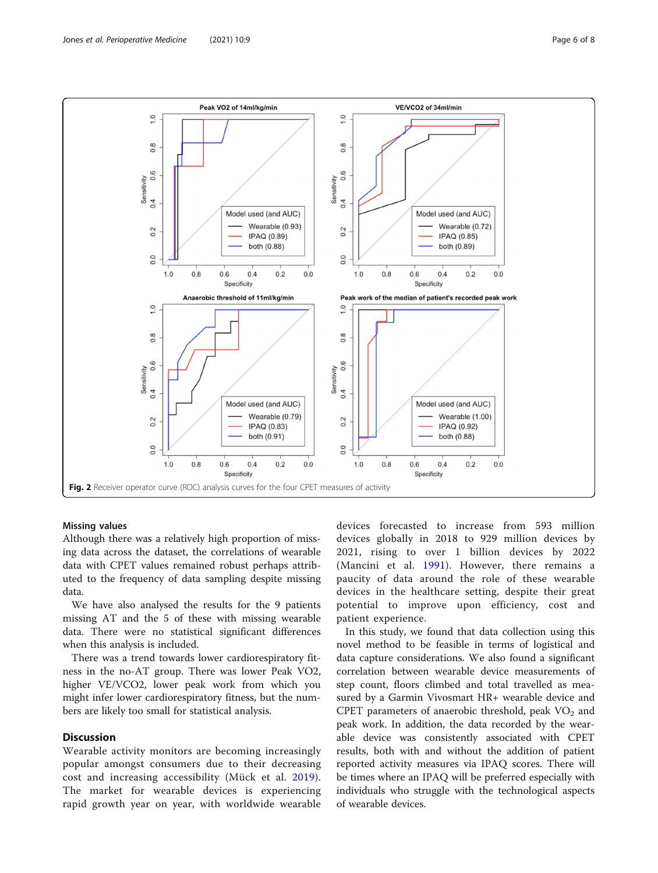<span id="page-5-0"></span>

#### Missing values

Although there was a relatively high proportion of missing data across the dataset, the correlations of wearable data with CPET values remained robust perhaps attributed to the frequency of data sampling despite missing data.

We have also analysed the results for the 9 patients missing AT and the 5 of these with missing wearable data. There were no statistical significant differences when this analysis is included.

There was a trend towards lower cardiorespiratory fitness in the no-AT group. There was lower Peak VO2, higher VE/VCO2, lower peak work from which you might infer lower cardiorespiratory fitness, but the numbers are likely too small for statistical analysis.

# **Discussion**

Wearable activity monitors are becoming increasingly popular amongst consumers due to their decreasing cost and increasing accessibility (Mück et al. [2019](#page-7-0)). The market for wearable devices is experiencing rapid growth year on year, with worldwide wearable devices forecasted to increase from 593 million devices globally in 2018 to 929 million devices by 2021, rising to over 1 billion devices by 2022 (Mancini et al. [1991](#page-7-0)). However, there remains a paucity of data around the role of these wearable devices in the healthcare setting, despite their great potential to improve upon efficiency, cost and patient experience.

In this study, we found that data collection using this novel method to be feasible in terms of logistical and data capture considerations. We also found a significant correlation between wearable device measurements of step count, floors climbed and total travelled as measured by a Garmin Vivosmart HR+ wearable device and CPET parameters of anaerobic threshold, peak  $VO<sub>2</sub>$  and peak work. In addition, the data recorded by the wearable device was consistently associated with CPET results, both with and without the addition of patient reported activity measures via IPAQ scores. There will be times where an IPAQ will be preferred especially with individuals who struggle with the technological aspects of wearable devices.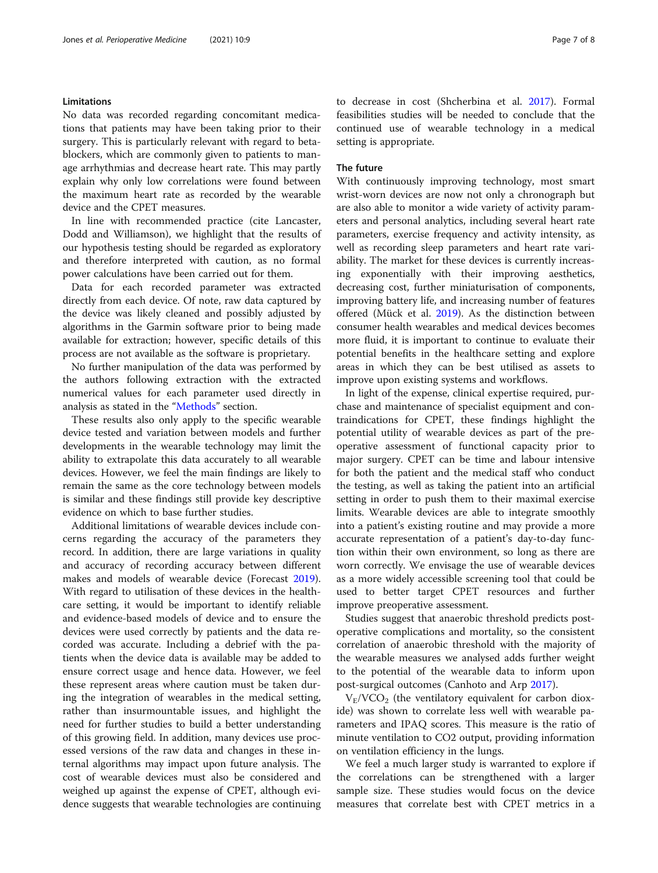# Limitations

No data was recorded regarding concomitant medications that patients may have been taking prior to their surgery. This is particularly relevant with regard to betablockers, which are commonly given to patients to manage arrhythmias and decrease heart rate. This may partly explain why only low correlations were found between the maximum heart rate as recorded by the wearable device and the CPET measures.

In line with recommended practice (cite Lancaster, Dodd and Williamson), we highlight that the results of our hypothesis testing should be regarded as exploratory and therefore interpreted with caution, as no formal power calculations have been carried out for them.

Data for each recorded parameter was extracted directly from each device. Of note, raw data captured by the device was likely cleaned and possibly adjusted by algorithms in the Garmin software prior to being made available for extraction; however, specific details of this process are not available as the software is proprietary.

No further manipulation of the data was performed by the authors following extraction with the extracted numerical values for each parameter used directly in analysis as stated in the "[Methods](#page-1-0)" section.

These results also only apply to the specific wearable device tested and variation between models and further developments in the wearable technology may limit the ability to extrapolate this data accurately to all wearable devices. However, we feel the main findings are likely to remain the same as the core technology between models is similar and these findings still provide key descriptive evidence on which to base further studies.

Additional limitations of wearable devices include concerns regarding the accuracy of the parameters they record. In addition, there are large variations in quality and accuracy of recording accuracy between different makes and models of wearable device (Forecast [2019](#page-7-0)). With regard to utilisation of these devices in the healthcare setting, it would be important to identify reliable and evidence-based models of device and to ensure the devices were used correctly by patients and the data recorded was accurate. Including a debrief with the patients when the device data is available may be added to ensure correct usage and hence data. However, we feel these represent areas where caution must be taken during the integration of wearables in the medical setting, rather than insurmountable issues, and highlight the need for further studies to build a better understanding of this growing field. In addition, many devices use processed versions of the raw data and changes in these internal algorithms may impact upon future analysis. The cost of wearable devices must also be considered and weighed up against the expense of CPET, although evidence suggests that wearable technologies are continuing to decrease in cost (Shcherbina et al. [2017](#page-7-0)). Formal feasibilities studies will be needed to conclude that the continued use of wearable technology in a medical setting is appropriate.

#### The future

With continuously improving technology, most smart wrist-worn devices are now not only a chronograph but are also able to monitor a wide variety of activity parameters and personal analytics, including several heart rate parameters, exercise frequency and activity intensity, as well as recording sleep parameters and heart rate variability. The market for these devices is currently increasing exponentially with their improving aesthetics, decreasing cost, further miniaturisation of components, improving battery life, and increasing number of features offered (Mück et al. [2019](#page-7-0)). As the distinction between consumer health wearables and medical devices becomes more fluid, it is important to continue to evaluate their potential benefits in the healthcare setting and explore areas in which they can be best utilised as assets to improve upon existing systems and workflows.

In light of the expense, clinical expertise required, purchase and maintenance of specialist equipment and contraindications for CPET, these findings highlight the potential utility of wearable devices as part of the preoperative assessment of functional capacity prior to major surgery. CPET can be time and labour intensive for both the patient and the medical staff who conduct the testing, as well as taking the patient into an artificial setting in order to push them to their maximal exercise limits. Wearable devices are able to integrate smoothly into a patient's existing routine and may provide a more accurate representation of a patient's day-to-day function within their own environment, so long as there are worn correctly. We envisage the use of wearable devices as a more widely accessible screening tool that could be used to better target CPET resources and further improve preoperative assessment.

Studies suggest that anaerobic threshold predicts postoperative complications and mortality, so the consistent correlation of anaerobic threshold with the majority of the wearable measures we analysed adds further weight to the potential of the wearable data to inform upon post-surgical outcomes (Canhoto and Arp [2017](#page-7-0)).

 $V_{E}/VCO_{2}$  (the ventilatory equivalent for carbon dioxide) was shown to correlate less well with wearable parameters and IPAQ scores. This measure is the ratio of minute ventilation to CO2 output, providing information on ventilation efficiency in the lungs.

We feel a much larger study is warranted to explore if the correlations can be strengthened with a larger sample size. These studies would focus on the device measures that correlate best with CPET metrics in a